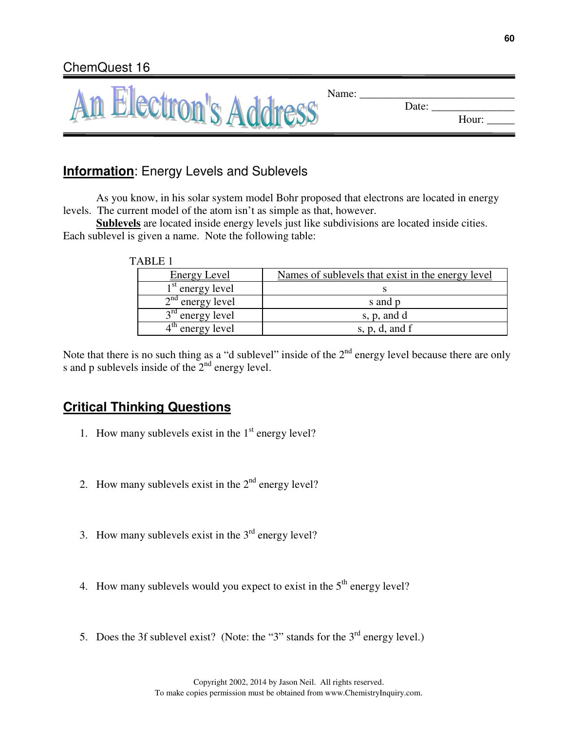|                       | Name:          |
|-----------------------|----------------|
| An Electron's Address | Date:<br>Hour: |
|                       |                |

# **Information**: Energy Levels and Sublevels

As you know, in his solar system model Bohr proposed that electrons are located in energy levels. The current model of the atom isn't as simple as that, however.

**Sublevels** are located inside energy levels just like subdivisions are located inside cities. Each sublevel is given a name. Note the following table:

| Energy Level       | Names of sublevels that exist in the energy level |
|--------------------|---------------------------------------------------|
| $1st$ energy level |                                                   |
| $2nd$ energy level | s and p                                           |
| $3rd$ energy level | s, p, and d                                       |
| $4th$ energy level | s, $p$ , $d$ , and $f$                            |

Note that there is no such thing as a "d sublevel" inside of the  $2<sup>nd</sup>$  energy level because there are only s and p sublevels inside of the  $2<sup>nd</sup>$  energy level.

## **Critical Thinking Questions**

- 1. How many sublevels exist in the  $1<sup>st</sup>$  energy level?
- 2. How many sublevels exist in the  $2<sup>nd</sup>$  energy level?
- 3. How many sublevels exist in the  $3<sup>rd</sup>$  energy level?
- 4. How many sublevels would you expect to exist in the  $5<sup>th</sup>$  energy level?
- 5. Does the 3f sublevel exist? (Note: the "3" stands for the  $3<sup>rd</sup>$  energy level.)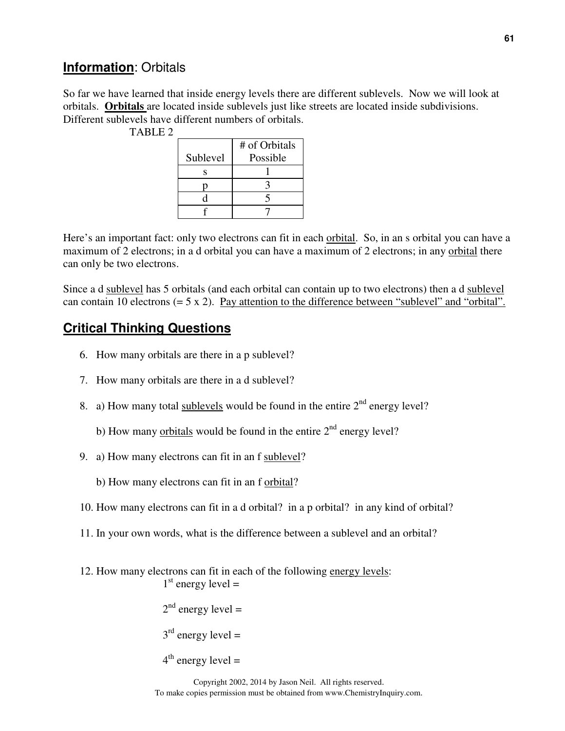#### **Information**: Orbitals

So far we have learned that inside energy levels there are different sublevels. Now we will look at orbitals. **Orbitals** are located inside sublevels just like streets are located inside subdivisions. Different sublevels have different numbers of orbitals.

| <b>TABLE 2</b> |          |               |
|----------------|----------|---------------|
|                |          | # of Orbitals |
|                | Sublevel | Possible      |
|                |          |               |
|                |          |               |
|                |          |               |
|                |          |               |

Here's an important fact: only two electrons can fit in each orbital. So, in an s orbital you can have a maximum of 2 electrons; in a d orbital you can have a maximum of 2 electrons; in any orbital there can only be two electrons.

Since a d sublevel has 5 orbitals (and each orbital can contain up to two electrons) then a d sublevel can contain 10 electrons  $(= 5 \times 2)$ . Pay attention to the difference between "sublevel" and "orbital".

## **Critical Thinking Questions**

- 6. How many orbitals are there in a p sublevel?
- 7. How many orbitals are there in a d sublevel?
- 8. a) How many total sublevels would be found in the entire  $2<sup>nd</sup>$  energy level?
	- b) How many orbitals would be found in the entire  $2<sup>nd</sup>$  energy level?
- 9. a) How many electrons can fit in an f sublevel?
	- b) How many electrons can fit in an f orbital?
- 10. How many electrons can fit in a d orbital? in a p orbital? in any kind of orbital?
- 11. In your own words, what is the difference between a sublevel and an orbital?
- 12. How many electrons can fit in each of the following energy levels:  $1<sup>st</sup>$  energy level =

 $2<sup>nd</sup>$  energy level =

 $3<sup>rd</sup>$  energy level =

```
4<sup>th</sup> energy level =
```
Copyright 2002, 2014 by Jason Neil. All rights reserved. To make copies permission must be obtained from www.ChemistryInquiry.com.